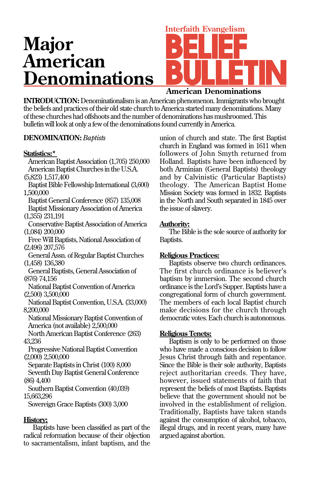# **Major American Denominations**

# **Interfaith Evangelism**

# **American Denominations**

**INTRODUCTION:**Denominationalism is an American phenomenon. Immigrants who brought the beliefs and practices of their old state church to America started many denominations. Many of these churches had offshoots and the number of denominations has mushroomed. This bulletin will look at only a few of the denominations found currently in America.

# **DENOMINATION:***Baptists*

# **Statistics:\***

American Baptist Association (1,705) 250,000 American Baptist Churches in the U.S.A. (5,823) 1,517,400 Baptist Bible Fellowship International (3,600) 1,500,000 Baptist General Conference (857) 135,008 Baptist Missionary Association of America (1,355) 231,191 Conservative Baptist Association of America (1,084) 200,000 Free Will Baptists, National Association of (2,496) 207,576 General Assn. of Regular Baptist Churches (1,458) 136,380 General Baptists, General Association of (876) 74,156 National Baptist Convention of America (2,500) 3,500,000 National Baptist Convention, U.S.A. (33,000) 8,200,000 National Missionary Baptist Convention of America (not available) 2,500,000 North American Baptist Conference (263) 43,236 Progressive National Baptist Convention (2,000) 2,500,000 Separate Baptists in Christ (100) 8,000 Seventh Day Baptist General Conference (86) 4,400 Southern Baptist Convention (40,039) 15,663,296 Sovereign Grace Baptists (300) 3,000 **History:**

Baptists have been classified as part of the radical reformation because of their objection to sacramentalism, infant baptism, and the

union of church and state. The first Baptist church in England was formed in 1611 when followers of John Smyth returned from Holland. Baptists have been influenced by both Arminian (General Baptists) theology and by Calvinistic (Particular Baptists) theology. The American Baptist Home Mission Society was formed in 1832. Baptists in the North and South separated in 1845 over the issue of slavery.

# **Authority:**

The Bible is the sole source of authority for Baptists.

# **Religious Practices:**

Baptists observe two church ordinances. The first church ordinance is believer's baptism by immersion. The second church ordinance is the Lord's Supper. Baptists have a congregational form of church government. The members of each local Baptist church make decisions for the church through democratic votes. Each church is autonomous.

# **Religious Tenets:**

Baptism is only to be performed on those who have made a conscious decision to follow Jesus Christ through faith and repentance. Since the Bible is their sole authority, Baptists reject authoritarian creeds. They have, however, issued statements of faith that represent the beliefs of most Baptists. Baptists believe that the government should not be involved in the establishment of religion. Traditionally, Baptists have taken stands against the consumption of alcohol, tobacco, illegal drugs, and in recent years, many have argued against abortion.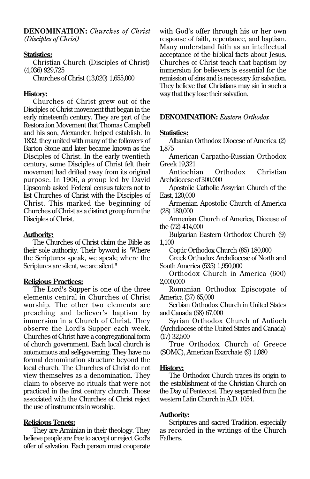**DENOMINATION:** *Churches of Christ (Disciples of Christ)*

#### **Statistics:**

Christian Church (Disciples of Christ) (4,036) 929,725

Churches of Christ (13,020) 1,655,000

#### **History:**

Churches of Christ grew out of the Disciples of Christ movement that began in the early nineteenth century. They are part of the Restoration Movement that Thomas Campbell and his son, Alexander, helped establish. In 1832, they united with many of the followers of Barton Stone and later became known as the Disciples of Christ. In the early twentieth century, some Disciples of Christ felt their movement had drifted away from its original purpose. In 1906, a group led by David Lipscomb asked Federal census takers not to list Churches of Christ with the Disciples of Christ. This marked the beginning of Churches of Christ as a distinct group from the Disciples of Christ.

# **Authority:**

The Churches of Christ claim the Bible as their sole authority. Their byword is "Where the Scriptures speak, we speak; where the Scriptures are silent, we are silent."

# **Religious Practices:**

The Lord's Supper is one of the three elements central in Churches of Christ worship. The other two elements are preaching and believer's baptism by immersion in a Church of Christ. They observe the Lord's Supper each week. Churches of Christ have a congregational form of church government. Each local church is autonomous and self-governing. They have no formal denomination structure beyond the local church. The Churches of Christ do not view themselves as a denomination. They claim to observe no rituals that were not practiced in the first century church. Those associated with the Churches of Christ reject the use of instruments in worship.

# **Religious Tenets:**

They are Arminian in their theology. They believe people are free to accept or reject God's offer of salvation. Each person must cooperate

with God's offer through his or her own response of faith, repentance, and baptism. Many understand faith as an intellectual acceptance of the biblical facts about Jesus. Churches of Christ teach that baptism by immersion for believers is essential for the remission of sins and is necessary for salvation. They believe that Christians may sin in such a way that they lose their salvation.

# **DENOMINATION:** *Eastern Orthodox*

# **Statistics:**

Albanian Orthodox Diocese of America (2) 1,875

American Carpatho-Russian Orthodox Greek 19,321

Antiochian Orthodox Christian Archdiocese of 300,000

Apostolic Catholic Assyrian Church of the East, 120,000

Armenian Apostolic Church of America (28) 180,000

Armenian Church of America, Diocese of the (72) 414,000

Bulgarian Eastern Orthodox Church (9) 1,100

Coptic Orthodox Church (85) 180,000

Greek Orthodox Archdiocese of North and South America (535) 1,950,000

Orthodox Church in America (600) 2,000,000

Romanian Orthodox Episcopate of America (37) 65,000

Serbian Orthodox Church in United States and Canada (68) 67,000

Syrian Orthodox Church of Antioch (Archdiocese of the United States and Canada) (17) 32,500

True Orthodox Church of Greece (SOMC), American Exarchate (9) 1,080

#### **History:**

The Orthodox Church traces its origin to the establishment of the Christian Church on the Day of Pentecost. They separated from the western Latin Church in A.D. 1054.

# **Authority:**

Scriptures and sacred Tradition, especially as recorded in the writings of the Church Fathers.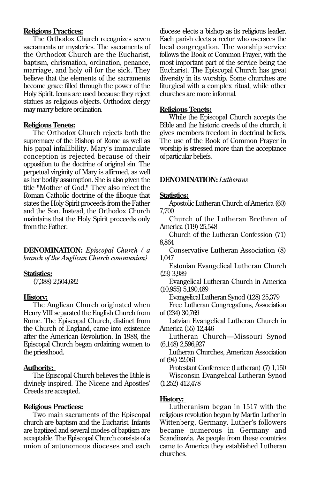# **Religious Practices:**

The Orthodox Church recognizes seven sacraments or mysteries. The sacraments of the Orthodox Church are the Eucharist, baptism, chrismation, ordination, penance, marriage, and holy oil for the sick. They believe that the elements of the sacraments become grace filled through the power of the Holy Spirit. Icons are used because they reject statues as religious objects. Orthodox clergy may marry before ordination.

# **Religious Tenets:**

The Orthodox Church rejects both the supremacy of the Bishop of Rome as well as his papal infallibility. Mary's immaculate conception is rejected because of their opposition to the doctrine of original sin. The perpetual virginity of Mary is affirmed, as well as her bodily assumption. She is also given the title "Mother of God." They also reject the Roman Catholic doctrine of the filioque that states the Holy Spirit proceeds from the Father and the Son. Instead, the Orthodox Church maintains that the Holy Spirit proceeds only from the Father.

**DENOMINATION:** *Episcopal Church ( a branch of the Anglican Church communion)*

#### **Statistics:**

(7,388) 2,504,682

# **History:**

The Anglican Church originated when Henry VIII separated the English Church from Rome. The Episcopal Church, distinct from the Church of England, came into existence after the American Revolution. In 1988, the Episcopal Church began ordaining women to the priesthood.

# **Authority:**

The Episcopal Church believes the Bible is divinely inspired. The Nicene and Apostles' Creeds are accepted.

# **Religious Practices:**

Two main sacraments of the Episcopal church are baptism and the Eucharist. Infants are baptized and several modes of baptism are acceptable. The Episcopal Church consists of a union of autonomous dioceses and each diocese elects a bishop as its religious leader. Each parish elects a rector who oversees the local congregation. The worship service follows the Book of Common Prayer, with the most important part of the service being the Eucharist. The Episcopal Church has great diversity in its worship. Some churches are liturgical with a complex ritual, while other churches are more informal.

#### **Religious Tenets:**

While the Episcopal Church accepts the Bible and the historic creeds of the church, it gives members freedom in doctrinal beliefs. The use of the Book of Common Prayer in worship is stressed more than the acceptance of particular beliefs.

# **DENOMINATION:** *Lutherans*

#### **Statistics:**

Apostolic Lutheran Church of America (60) 7,700

Church of the Lutheran Brethren of America (119) 25,548

Church of the Lutheran Confession (71) 8,864

Conservative Lutheran Association (8) 1,047

Estonian Evangelical Lutheran Church (23) 3,989

Evangelical Lutheran Church in America (10,955) 5,190,489

Evangelical Lutheran Synod (128) 25,379

Free Lutheran Congregations, Association of (234) 30,769

Latvian Evangelical Lutheran Church in America (55) 12,446

Lutheran Church—Missouri Synod (6,148) 2,596,927

Lutheran Churches, American Association of (94) 22,061

Protestant Conference (Lutheran) (7) 1,150 Wisconsin Evangelical Lutheran Synod (1,252) 412,478

# **History:**

Lutheranism began in 1517 with the religious revolution begun by Martin Luther in Wittenberg, Germany. Luther's followers became numerous in Germany and Scandinavia. As people from these countries came to America they established Lutheran churches.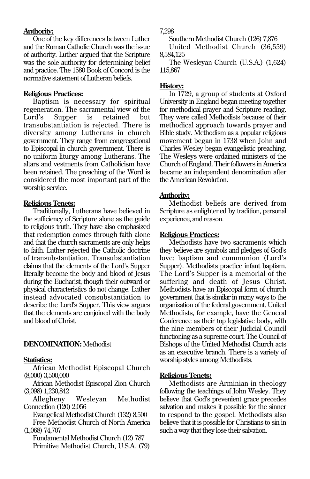# **Authority:**

One of the key differences between Luther and the Roman Catholic Church was the issue of authority. Luther argued that the Scripture was the sole authority for determining belief and practice. The 1580 Book of Concord is the normative statement of Lutheran beliefs.

#### **Religious Practices:**

Baptism is necessary for spiritual regeneration. The sacramental view of the Lord's Supper is retained but transubstantiation is rejected. There is diversity among Lutherans in church government. They range from congregational to Episcopal in church government. There is no uniform liturgy among Lutherans. The altars and vestments from Catholicism have been retained. The preaching of the Word is considered the most important part of the worship service.

#### **Religious Tenets:**

Traditionally, Lutherans have believed in the sufficiency of Scripture alone as the guide to religious truth. They have also emphasized that redemption comes through faith alone and that the church sacraments are only helps to faith. Luther rejected the Catholic doctrine of transubstantiation. Transubstantiation claims that the elements of the Lord's Supper literally become the body and blood of Jesus during the Eucharist, though their outward or physical characteristics do not change. Luther instead advocated consubstantiation to describe the Lord's Supper. This view argues that the elements are conjoined with the body and blood of Christ.

# **DENOMINATION:** Methodist

# **Statistics:**

African Methodist Episcopal Church (8,000) 3,500,000

African Methodist Episcopal Zion Church (3,098) 1,230,842

Allegheny Wesleyan Methodist Connection (120) 2,056

Evangelical Methodist Church (132) 8,500 Free Methodist Church of North America (1,068) 74,707

Fundamental Methodist Church (12) 787 Primitive Methodist Church, U.S.A. (79) 7,298

Southern Methodist Church (126) 7,876

United Methodist Church (36,559) 8,584,125

The Wesleyan Church (U.S.A.) (1,624) 115,867

# **History:**

In 1729, a group of students at Oxford University in England began meeting together for methodical prayer and Scripture reading. They were called Methodists because of their methodical approach towards prayer and Bible study. Methodism as a popular religious movement began in 1738 when John and Charles Wesley began evangelistic preaching. The Wesleys were ordained ministers of the Church of England. Their followers in America became an independent denomination after the American Revolution.

#### **Authority:**

Methodist beliefs are derived from Scripture as enlightened by tradition, personal experience, and reason.

#### **Religious Practices:**

Methodists have two sacraments which they believe are symbols and pledges of God's love: baptism and communion (Lord's Supper). Methodists practice infant baptism. The Lord's Supper is a memorial of the suffering and death of Jesus Christ. Methodists have an Episcopal form of church government that is similar in many ways to the organization of the federal government. United Methodists, for example, have the General Conference as their top legislative body, with the nine members of their Judicial Council functioning as a supreme court. The Council of Bishops of the United Methodist Church acts as an executive branch. There is a variety of worship styles among Methodists.

#### **Religious Tenets:**

Methodists are Arminian in theology following the teachings of John Wesley. They believe that God's prevenient grace precedes salvation and makes it possible for the sinner to respond to the gospel. Methodists also believe that it is possible for Christians to sin in such a way that they lose their salvation.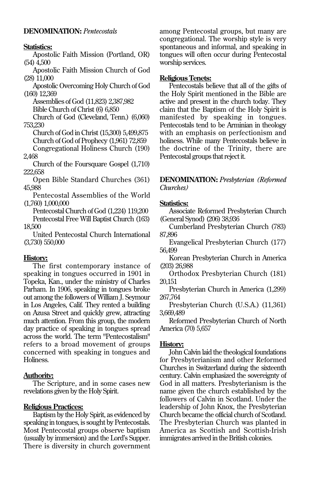# **DENOMINATION:** *Pentecostals*

#### **Statistics:**

Apostolic Faith Mission (Portland, OR) (54) 4,500

Apostolic Faith Mission Church of God (28) 11,000

Apostolic Overcoming Holy Church of God (160) 12,369

Assemblies of God (11,823) 2,387,982

Bible Church of Christ (6) 6,850

Church of God (Cleveland, Tenn.) (6,060) 753,230

Church of God in Christ (15,300) 5,499,875

Church of God of Prophecy (1,961) 72,859

Congregational Holiness Church (190) 2,468

Church of the Foursquare Gospel (1,710) 222,658

Open Bible Standard Churches (361) 45,988

Pentecostal Assemblies of the World (1,760) 1,000,000

Pentecostal Church of God (1,224) 119,200

Pentecostal Free Will Baptist Church (163) 18,500

United Pentecostal Church International (3,730) 550,000

# **History:**

The first contemporary instance of speaking in tongues occurred in 1901 in Topeka, Kan., under the ministry of Charles Parham. In 1906, speaking in tongues broke out among the followers of William J. Seymour in Los Angeles, Calif. They rented a building on Azusa Street and quickly grew, attracting much attention. From this group, the modern day practice of speaking in tongues spread across the world. The term "Pentecostalism" refers to a broad movement of groups concerned with speaking in tongues and Holiness.

# **Authority:**

The Scripture, and in some cases new revelations given by the Holy Spirit.

# **Religious Practices:**

Baptism by the Holy Spirit, as evidenced by speaking in tongues, is sought by Pentecostals. Most Pentecostal groups observe baptism (usually by immersion) and the Lord's Supper. There is diversity in church government among Pentecostal groups, but many are congregational. The worship style is very spontaneous and informal, and speaking in tongues will often occur during Pentecostal worship services.

#### **Religious Tenets:**

Pentecostals believe that all of the gifts of the Holy Spirit mentioned in the Bible are active and present in the church today. They claim that the Baptism of the Holy Spirit is manifested by speaking in tongues. Pentecostals tend to be Arminian in theology with an emphasis on perfectionism and holiness. While many Pentecostals believe in the doctrine of the Trinity, there are Pentecostal groups that reject it.

**DENOMINATION:** *Presbyterian (Reformed Churches)*

#### **Statistics:**

Associate Reformed Presbyterian Church (General Synod) (206) 38,936

Cumberland Presbyterian Church (783) 87,896

Evangelical Presbyterian Church (177) 56,499

Korean Presbyterian Church in America (203) 26,988

Orthodox Presbyterian Church (181) 20,151

Presbyterian Church in America (1,299) 267,764

Presbyterian Church (U.S.A.) (11,361) 3,669,489

Reformed Presbyterian Church of North America (70) 5,657

#### **History:**

John Calvin laid the theological foundations for Presbyterianism and other Reformed Churches in Switzerland during the sixteenth century. Calvin emphasized the sovereignty of God in all matters. Presbyterianism is the name given the church established by the followers of Calvin in Scotland. Under the leadership of John Knox, the Presbyterian Church became the official church of Scotland. The Presbyterian Church was planted in America as Scottish and Scottish-Irish immigrates arrived in the British colonies.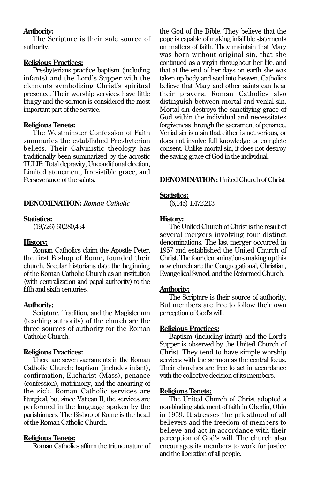# **Authority:**

The Scripture is their sole source of authority.

#### **Religious Practices:**

Presbyterians practice baptism (including infants) and the Lord's Supper with the elements symbolizing Christ's spiritual presence. Their worship services have little liturgy and the sermon is considered the most important part of the service.

#### **Religious Tenets:**

The Westminster Confession of Faith summaries the established Presbyterian beliefs. Their Calvinistic theology has traditionally been summarized by the acrostic TULIP: Total depravity, Unconditional election, Limited atonement, Irresistible grace, and Perseverance of the saints.

# **DENOMINATION:** *Roman Catholic*

#### **Statistics:**

(19,726) 60,280,454

#### **History:**

Roman Catholics claim the Apostle Peter, the first Bishop of Rome, founded their church. Secular historians date the beginning of the Roman Catholic Church as an institution (with centralization and papal authority) to the fifth and sixth centuries.

#### **Authority:**

Scripture, Tradition, and the Magisterium (teaching authority) of the church are the three sources of authority for the Roman Catholic Church.

#### **Religious Practices:**

There are seven sacraments in the Roman Catholic Church: baptism (includes infant), confirmation, Eucharist (Mass), penance (confession), matrimony, and the anointing of the sick. Roman Catholic services are liturgical, but since Vatican II, the services are performed in the language spoken by the parishioners. The Bishop of Rome is the head of the Roman Catholic Church.

# **Religious Tenets:**

Roman Catholics affirm the triune nature of

the God of the Bible. They believe that the pope is capable of making infallible statements on matters of faith. They maintain that Mary was born without original sin, that she continued as a virgin throughout her life, and that at the end of her days on earth she was taken up body and soul into heaven. Catholics believe that Mary and other saints can hear their prayers. Roman Catholics also distinguish between mortal and venial sin. Mortal sin destroys the sanctifying grace of God within the individual and necessitates forgiveness through the sacrament of penance. Venial sin is a sin that either is not serious, or does not involve full knowledge or complete consent. Unlike mortal sin, it does not destroy the saving grace of God in the individual.

#### **DENOMINATION:** United Church of Christ

#### **Statistics:**

(6,145) 1,472,213

#### **History:**

The United Church of Christ is the result of several mergers involving four distinct denominations. The last merger occurred in 1957 and established the United Church of Christ. The four denominations making up this new church are the Congregational, Christian, Evangelical Synod, and the Reformed Church.

#### **Authority:**

The Scripture is their source of authority. But members are free to follow their own perception of God's will.

#### **Religious Practices:**

Baptism (including infant) and the Lord's Supper is observed by the United Church of Christ. They tend to have simple worship services with the sermon as the central focus. Their churches are free to act in accordance with the collective decision of its members.

#### **Religious Tenets:**

The United Church of Christ adopted a non-binding statement of faith in Oberlin, Ohio in 1959. It stresses the priesthood of all believers and the freedom of members to believe and act in accordance with their perception of God's will. The church also encourages its members to work for justice and the liberation of all people.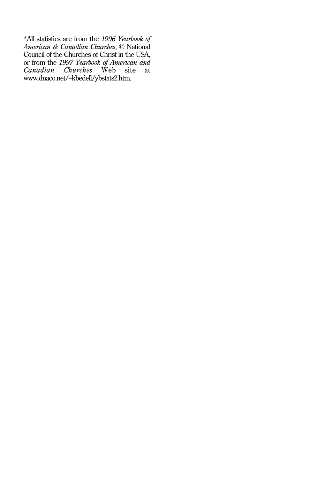\*All statistics are from the *1996 Yearbook of American & Canadian Churches*, © National Council of the Churches of Christ in the USA, or from the *1997 Yearbook of American and Canadian Churches* Web site at www.dnaco.net/~kbedell/ybstats2.htm.